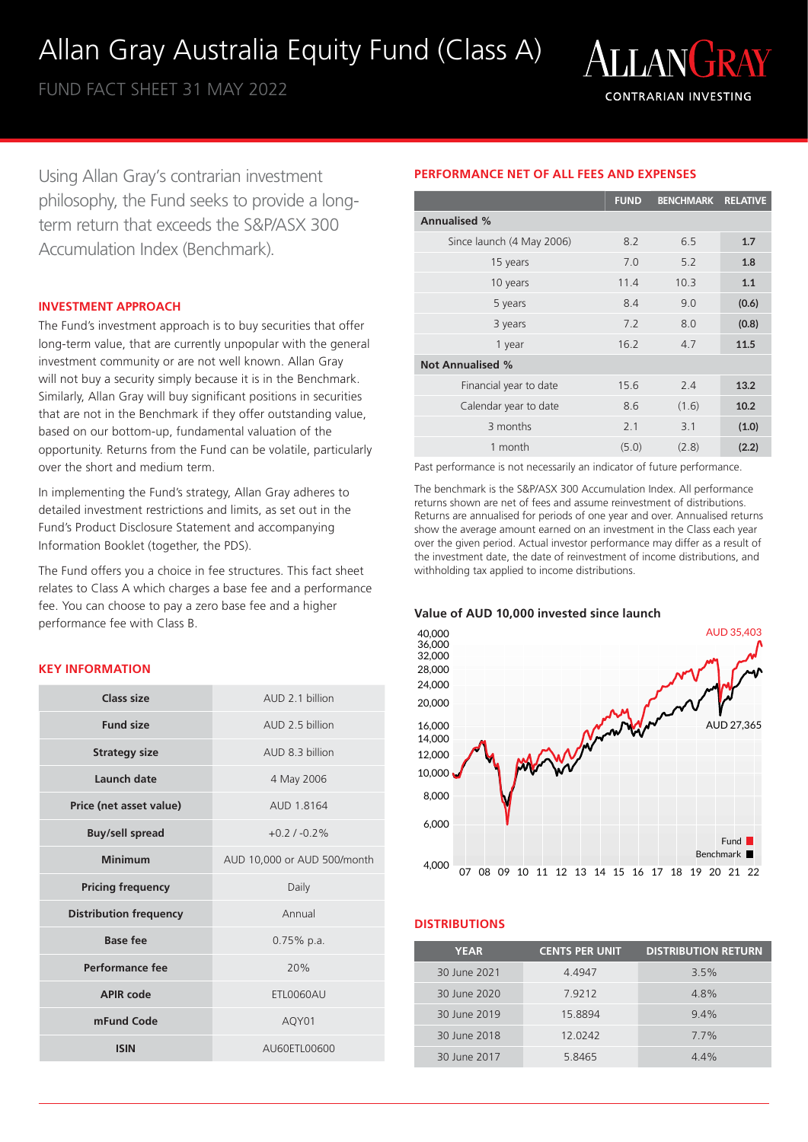# Allan Gray Australia Equity Fund (Class A)

FUND FACT SHEET 31 MAY 2022



Using Allan Gray's contrarian investment philosophy, the Fund seeks to provide a longterm return that exceeds the S&P/ASX 300 Accumulation Index (Benchmark).

# **INVESTMENT APPROACH**

The Fund's investment approach is to buy securities that offer long-term value, that are currently unpopular with the general investment community or are not well known. Allan Gray will not buy a security simply because it is in the Benchmark. Similarly, Allan Gray will buy significant positions in securities that are not in the Benchmark if they offer outstanding value, based on our bottom-up, fundamental valuation of the opportunity. Returns from the Fund can be volatile, particularly over the short and medium term.

In implementing the Fund's strategy, Allan Gray adheres to detailed investment restrictions and limits, as set out in the Fund's Product Disclosure Statement and accompanying Information Booklet (together, the PDS).

The Fund offers you a choice in fee structures. This fact sheet relates to Class A which charges a base fee and a performance fee. You can choose to pay a zero base fee and a higher performance fee with Class B.

# **KEY INFORMATION**

| Class size                    | AUD 2 1 billion             |
|-------------------------------|-----------------------------|
| <b>Fund size</b>              | AUD 2.5 billion             |
| <b>Strategy size</b>          | AUD 8.3 billion             |
| Launch date                   | 4 May 2006                  |
| Price (net asset value)       | AUD 1.8164                  |
| <b>Buy/sell spread</b>        | $+0.21 - 0.2%$              |
| Minimum                       | AUD 10,000 or AUD 500/month |
| <b>Pricing frequency</b>      | Daily                       |
| <b>Distribution frequency</b> | Annual                      |
| Base fee                      | $0.75%$ p.a.                |
| Performance fee               | 20%                         |
| <b>APIR code</b>              | ETL0060AU                   |
| mFund Code                    | AQY01                       |
| <b>ISIN</b>                   | AU60ETL00600                |

# **PERFORMANCE NET OF ALL FEES AND EXPENSES**

|                           | <b>FUND</b> | <b>BENCHMARK</b> | <b>RELATIVE</b> |
|---------------------------|-------------|------------------|-----------------|
| <b>Annualised %</b>       |             |                  |                 |
| Since launch (4 May 2006) | 8.2         | 6.5              | 1.7             |
| 15 years                  | 7.0         | 5.2              | 1.8             |
| 10 years                  | 11.4        | 10.3             | 1.1             |
| 5 years                   | 8.4         | 9.0              | (0.6)           |
| 3 years                   | 7.2         | 8.0              | (0.8)           |
| 1 year                    | 16.2        | 4.7              | 11.5            |
| <b>Not Annualised %</b>   |             |                  |                 |
| Financial year to date    | 15.6        | 2.4              | 13.2            |
| Calendar year to date     | 8.6         | (1.6)            | 10.2            |
| 3 months                  | 2.1         | 3.1              | (1.0)           |
| 1 month                   | (5.0)       | (2.8)            | (2.2)           |

Past performance is not necessarily an indicator of future performance.

The benchmark is the S&P/ASX 300 Accumulation Index. All performance returns shown are net of fees and assume reinvestment of distributions. Returns are annualised for periods of one year and over. Annualised returns show the average amount earned on an investment in the Class each year over the given period. Actual investor performance may differ as a result of the investment date, the date of reinvestment of income distributions, and withholding tax applied to income distributions.

#### **Value of AUD 10,000 invested since launch**



# **DISTRIBUTIONS**

| <b>YEAR</b>  | <b>CENTS PER UNIT</b> | <b>DISTRIBUTION RETURN</b> |
|--------------|-----------------------|----------------------------|
| 30 June 2021 | 4.4947                | 3.5%                       |
| 30 June 2020 | 79212                 | 4.8%                       |
| 30 June 2019 | 15.8894               | 9.4%                       |
| 30 June 2018 | 12.0242               | 7.7%                       |
| 30 June 2017 | 5.8465                | 4.4%                       |